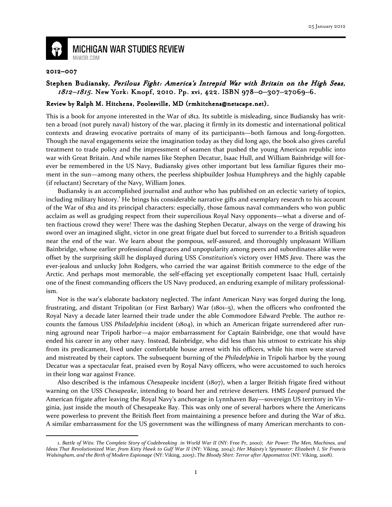

**MICHIGAN WAR STUDIES REVIEW** MiWSR.COM

## 2012–007

 $\overline{\phantom{0}}$ 

## Stephen Budiansky, Perilous Fight: America's Intrepid War with Britain on the High Seas, 1812–1815. New York: Knopf, 2010. Pp. xvi, 422. ISBN 978-0-307-27069-6.

## Review by Ralph M. Hitchens, Poolesville, MD (rmhitchens@netscape.net).

This is a book for anyone interested in the War of 1812. Its subtitle is misleading, since Budiansky has written a broad (not purely naval) history of the war, placing it firmly in its domestic and international political contexts and drawing evocative portraits of many of its participants—both famous and long-forgotten. Though the naval engagements seize the imagination today as they did long ago, the book also gives careful treatment to trade policy and the impressment of seamen that pushed the young American republic into war with Great Britain. And while names like Stephen Decatur, Isaac Hull, and William Bainbridge will forever be remembered in the US Navy, Budiansky gives other important but less familiar figures their moment in the sun—among many others, the peerless shipbuilder Joshua Humphreys and the highly capable (if reluctant) Secretary of the Navy, William Jones.

Budiansky is an accomplished journalist and author who has published on an eclectic variety of topics, including military history.<sup>1</sup> He brings his considerable narrative gifts and exemplary research to his account of the War of 1812 and its principal characters: especially, those famous naval commanders who won public acclaim as well as grudging respect from their supercilious Royal Navy opponents—what a diverse and often fractious crowd they were! There was the dashing Stephen Decatur, always on the verge of drawing his sword over an imagined slight, victor in one great frigate duel but forced to surrender to a British squadron near the end of the war. We learn about the pompous, self-assured, and thoroughly unpleasant William Bainbridge, whose earlier professional disgraces and unpopularity among peers and subordinates alike were offset by the surprising skill he displayed during USS Constitution's victory over HMS Java. There was the ever-jealous and unlucky John Rodgers, who carried the war against British commerce to the edge of the Arctic. And perhaps most memorable, the self-effacing yet exceptionally competent Isaac Hull, certainly one of the finest commanding officers the US Navy produced, an enduring example of military professionalism.

Nor is the war's elaborate backstory neglected. The infant American Navy was forged during the long, frustrating, and distant Tripolitan (or First Barbary) War (1801–5), when the officers who confronted the Royal Navy a decade later learned their trade under the able Commodore Edward Preble. The author recounts the famous USS Philadelphia incident (1804), in which an American frigate surrendered after running aground near Tripoli harbor—a major embarrassment for Captain Bainbridge, one that would have ended his career in any other navy. Instead, Bainbridge, who did less than his utmost to extricate his ship from its predicament, lived under comfortable house arrest with his officers, while his men were starved and mistreated by their captors. The subsequent burning of the *Philadelphia* in Tripoli harbor by the young Decatur was a spectacular feat, praised even by Royal Navy officers, who were accustomed to such heroics in their long war against France.

Also described is the infamous *Chesapeake* incident  $(1807)$ , when a larger British frigate fired without warning on the USS Chesapeake, intending to board her and retrieve deserters. HMS Leopard pursued the American frigate after leaving the Royal Navy's anchorage in Lynnhaven Bay—sovereign US territory in Virginia, just inside the mouth of Chesapeake Bay. This was only one of several harbors where the Americans were powerless to prevent the British fleet from maintaining a presence before and during the War of 1812. A similar embarrassment for the US government was the willingness of many American merchants to con-

<sup>1.</sup> Battle of Wits: The Complete Story of Codebreaking in World War II (NY: Free Pr, 2000); Air Power: The Men, Machines, and Ideas That Revolutionized War, from Kitty Hawk to Gulf War II (NY: Viking, 2004); Her Majesty's Spymaster: Elizabeth I, Sir Francis Walsingham, and the Birth of Modern Espionage (NY: Viking, 2005); The Bloody Shirt: Terror after Appomattox (NY: Viking, 2008).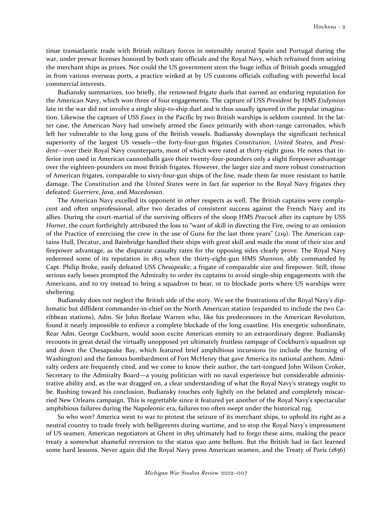tinue transatlantic trade with British military forces in ostensibly neutral Spain and Portugal during the war, under prewar licenses honored by both state officials and the Royal Navy, which refrained from seizing the merchant ships as prizes. Nor could the US government stem the huge influx of British goods smuggled in from various overseas ports, a practice winked at by US customs officials colluding with powerful local commercial interests.

Budiansky summarizes, too briefly, the renowned frigate duels that earned an enduring reputation for the American Navy, which won three of four engagements. The capture of USS President by HMS Endymion late in the war did not involve a single ship-to-ship duel and is thus usually ignored in the popular imagination. Likewise the capture of USS Essex in the Pacific by two British warships is seldom counted. In the latter case, the American Navy had unwisely armed the *Essex* primarily with short-range carronades, which left her vulnerable to the long guns of the British vessels. Budiansky downplays the significant technical superiority of the largest US vessels—the forty-four-gun frigates Constitution, United States, and President—over their Royal Navy counterparts, most of which were rated at thirty-eight guns. He notes that inferior iron used in American cannonballs gave their twenty-four-pounders only a slight firepower advantage over the eighteen-pounders on most British frigates. However, the larger size and more robust construction of American frigates, comparable to sixty-four-gun ships of the line, made them far more resistant to battle damage. The Constitution and the United States were in fact far superior to the Royal Navy frigates they defeated: Guerriere, Java, and Macedonian.

The American Navy excelled its opponent in other respects as well. The British captains were complacent and often unprofessional, after two decades of consistent success against the French Navy and its allies. During the court-martial of the surviving officers of the sloop HMS Peacock after its capture by USS Hornet, the court forthrightly attributed the loss to "want of skill in directing the Fire, owing to an omission of the Practice of exercising the crew in the use of Guns for the last three years" (219). The American captains Hull, Decatur, and Bainbridge handled their ships with great skill and made the most of their size and firepower advantage, as the disparate casualty rates for the opposing sides clearly prove. The Royal Navy redeemed some of its reputation in 1813 when the thirty-eight-gun HMS Shannon, ably commanded by Capt. Philip Broke, easily defeated USS Chesapeake, a frigate of comparable size and firepower. Still, those serious early losses prompted the Admiralty to order its captains to avoid single-ship engagements with the Americans, and to try instead to bring a squadron to bear, or to blockade ports where US warships were sheltering.

Budiansky does not neglect the British side of the story. We see the frustrations of the Royal Navy's diplomatic but diffident commander-in-chief on the North American station (expanded to include the two Caribbean stations), Adm. Sir John Borlase Warren who, like his predecessors in the American Revolution, found it nearly impossible to enforce a complete blockade of the long coastline. His energetic subordinate, Rear Adm. George Cockburn, would soon excite American enmity to an extraordinary degree. Budiansky recounts in great detail the virtually unopposed yet ultimately fruitless rampage of Cockburn's squadron up and down the Chesapeake Bay, which featured brief amphibious incursions (to include the burning of Washington) and the famous bombardment of Fort McHenry that gave America its national anthem. Admiralty orders are frequently cited, and we come to know their author, the tart-tongued John Wilson Croker, Secretary to the Admiralty Board—a young politician with no naval experience but considerable administrative ability and, as the war dragged on, a clear understanding of what the Royal Navy's strategy ought to be. Rushing toward his conclusion, Budiansky touches only lightly on the belated and completely miscarried New Orleans campaign. This is regrettable since it featured yet another of the Royal Navy's spectacular amphibious failures during the Napoleonic era, failures too often swept under the historical rug.

So who won? America went to war to protest the seizure of its merchant ships, to uphold its right as a neutral country to trade freely with belligerents during wartime, and to stop the Royal Navy's impressment of US seamen. American negotiators at Ghent in 1815 ultimately had to forgo these aims, making the peace treaty a somewhat shameful reversion to the status quo ante bellum. But the British had in fact learned some hard lessons. Never again did the Royal Navy press American seamen, and the Treaty of Paris (1856)